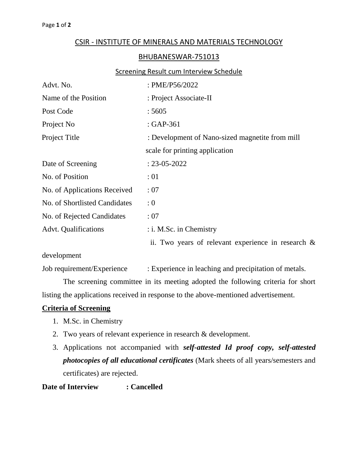## CSIR - INSTITUTE OF MINERALS AND MATERIALS TECHNOLOGY

### BHUBANESWAR-751013

#### Screening Result cum Interview Schedule

| Advt. No.                     | : PME/P56/2022                                        |  |  |
|-------------------------------|-------------------------------------------------------|--|--|
| Name of the Position          | : Project Associate-II                                |  |  |
| Post Code                     | :5605                                                 |  |  |
| Project No                    | : GAP-361                                             |  |  |
| Project Title                 | : Development of Nano-sized magnetite from mill       |  |  |
|                               | scale for printing application                        |  |  |
| Date of Screening             | $: 23 - 05 - 2022$                                    |  |  |
| No. of Position               | :01                                                   |  |  |
| No. of Applications Received  | :07                                                   |  |  |
| No. of Shortlisted Candidates | : 0                                                   |  |  |
| No. of Rejected Candidates    | :07                                                   |  |  |
| <b>Advt. Qualifications</b>   | $:$ i. M.Sc. in Chemistry                             |  |  |
|                               | ii. Two years of relevant experience in research $\&$ |  |  |
|                               |                                                       |  |  |

development

Job requirement/Experience : Experience in leaching and precipitation of metals.

The screening committee in its meeting adopted the following criteria for short listing the applications received in response to the above-mentioned advertisement.

#### **Criteria of Screening**

- 1. M.Sc. in Chemistry
- 2. Two years of relevant experience in research & development.
- 3. Applications not accompanied with *self-attested Id proof copy, self-attested photocopies of all educational certificates* (Mark sheets of all years/semesters and certificates) are rejected.

## **Date of Interview : Cancelled**